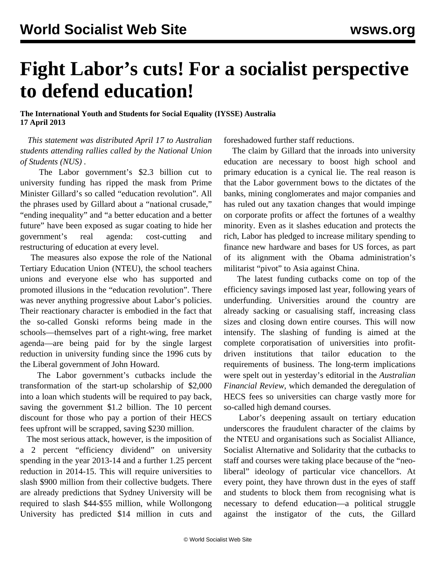## **Fight Labor's cuts! For a socialist perspective to defend education!**

**The International Youth and Students for Social Equality (IYSSE) Australia 17 April 2013**

 *This statement was distributed April 17 to Australian students attending rallies called by the National Union of Students (NUS) .*

 The Labor government's \$2.3 billion cut to university funding has ripped the mask from Prime Minister Gillard's so called "education revolution". All the phrases used by Gillard about a "national crusade," "ending inequality" and "a better education and a better future" have been exposed as sugar coating to hide her government's real agenda: cost-cutting and restructuring of education at every level.

 The measures also expose the role of the National Tertiary Education Union (NTEU), the school teachers unions and everyone else who has supported and promoted illusions in the "education revolution". There was never anything progressive about Labor's policies. Their reactionary character is embodied in the fact that the so-called Gonski reforms being made in the schools—themselves part of a right-wing, free market agenda—are being paid for by the single largest reduction in university funding since the 1996 cuts by the Liberal government of John Howard.

 The Labor government's cutbacks include the transformation of the start-up scholarship of \$2,000 into a loan which students will be required to pay back, saving the government \$1.2 billion. The 10 percent discount for those who pay a portion of their HECS fees upfront will be scrapped, saving \$230 million.

 The most serious attack, however, is the imposition of a 2 percent "efficiency dividend" on university spending in the year 2013-14 and a further 1.25 percent reduction in 2014-15. This will require universities to slash \$900 million from their collective budgets. There are already predictions that Sydney University will be required to slash \$44-\$55 million, while Wollongong University has predicted \$14 million in cuts and foreshadowed further staff reductions.

 The claim by Gillard that the inroads into university education are necessary to boost high school and primary education is a cynical lie. The real reason is that the Labor government bows to the dictates of the banks, mining conglomerates and major companies and has ruled out any taxation changes that would impinge on corporate profits or affect the fortunes of a wealthy minority. Even as it slashes education and protects the rich, Labor has pledged to increase military spending to finance new hardware and bases for US forces, as part of its alignment with the Obama administration's militarist "pivot" to Asia against China.

 The latest funding cutbacks come on top of the efficiency savings imposed last year, following years of underfunding. Universities around the country are already sacking or casualising staff, increasing class sizes and closing down entire courses. This will now intensify. The slashing of funding is aimed at the complete corporatisation of universities into profitdriven institutions that tailor education to the requirements of business. The long-term implications were spelt out in yesterday's editorial in the *Australian Financial Review*, which demanded the deregulation of HECS fees so universities can charge vastly more for so-called high demand courses.

 Labor's deepening assault on tertiary education underscores the fraudulent character of the claims by the NTEU and organisations such as Socialist Alliance, Socialist Alternative and Solidarity that the cutbacks to staff and courses were taking place because of the "neoliberal" ideology of particular vice chancellors. At every point, they have thrown dust in the eyes of staff and students to block them from recognising what is necessary to defend education—a political struggle against the instigator of the cuts, the Gillard